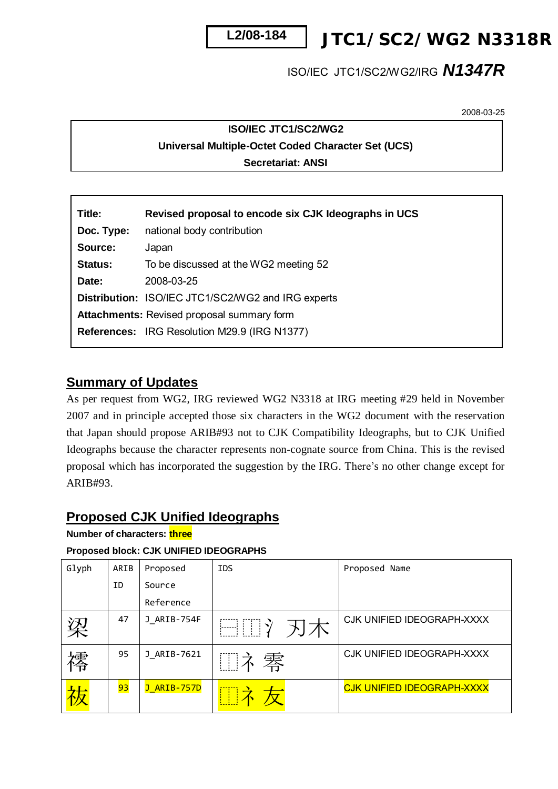

*JTC1/SC2/WG2 N3318R*

# ISO/IEC JTC1/SC2/WG2/IRG *N1347R*

2008-03-25

## **ISO/IEC JTC1/SC2/WG2 Universal Multiple-Octet Coded Character Set (UCS) Secretariat: ANSI**

| Title:         | Revised proposal to encode six CJK Ideographs in UCS      |
|----------------|-----------------------------------------------------------|
| Doc. Type:     | national body contribution                                |
| Source:        | Japan                                                     |
| <b>Status:</b> | To be discussed at the WG2 meeting 52                     |
| Date:          | 2008-03-25                                                |
|                | <b>Distribution: ISO/IEC JTC1/SC2/WG2 and IRG experts</b> |
|                | <b>Attachments: Revised proposal summary form</b>         |
|                | <b>References: IRG Resolution M29.9 (IRG N1377)</b>       |
|                |                                                           |

## **Summary of Updates**

As per request from WG2, IRG reviewed WG2 N3318 at IRG meeting #29 held in November 2007 and in principle accepted those six characters in the WG2 document with the reservation that Japan should propose ARIB#93 not to CJK Compatibility Ideographs, but to CJK Unified Ideographs because the character represents non-cognate source from China. This is the revised proposal which has incorporated the suggestion by the IRG. There's no other change except for ARIB#93.

## **Proposed CJK Unified Ideographs**

**Number of characters: three** 

## **Proposed block: CJK UNIFIED IDEOGRAPHS**

| Glyph  | ARIB | Proposed    | <b>IDS</b> | Proposed Name                     |
|--------|------|-------------|------------|-----------------------------------|
|        | ID   | Source      |            |                                   |
|        |      | Reference   |            |                                   |
| 梁      | 47   | J ARIB-754F | □□ 刃木      | CJK UNIFIED IDEOGRAPH-XXXX        |
| 操<br>伶 | 95   | J ARIB-7621 | Ⅲネ零        | CJK UNIFIED IDEOGRAPH-XXXX        |
|        | 93   | J_ARIB-757D | □ ネ        | <b>CJK UNIFIED IDEOGRAPH-XXXX</b> |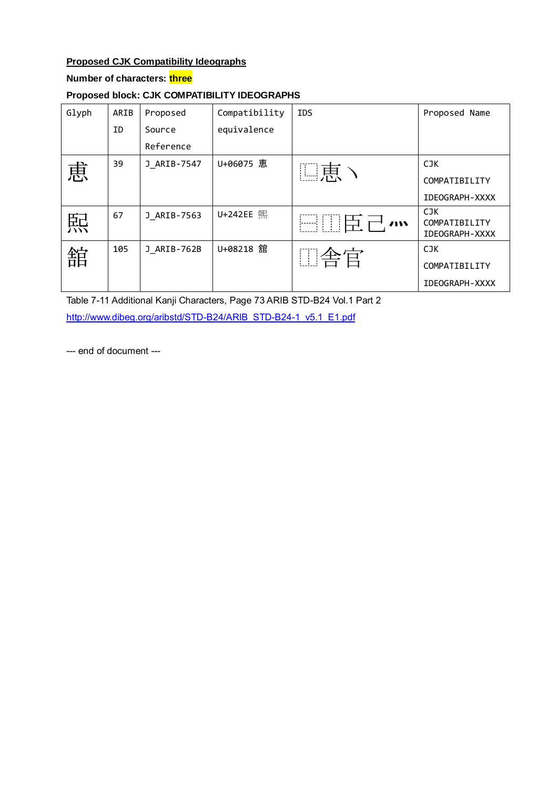## **Proposed CJK Compatibility Ideographs**

### **Number of characters: three**

### **Proposed block: CJK COMPATIBILITY IDEOGRAPHS**

| Glyph | ARIB | Proposed    | Compatibility | <b>IDS</b> | Proposed Name                           |
|-------|------|-------------|---------------|------------|-----------------------------------------|
|       | ID   | Source      | equivalence   |            |                                         |
|       |      | Reference   |               |            |                                         |
| 恵     | 39   | J ARIB-7547 | U+06075 恵     | □恵ヽ        | <b>CJK</b>                              |
|       |      |             |               |            | COMPATIBILITY                           |
|       |      |             |               |            | <b>IDEOGRAPH-XXXX</b>                   |
| 熙     | 67   | J ARIB-7563 | U+242EE 熙     | □Ⅲ臣己灬      | CJK.<br>COMPATIBILITY<br>IDEOGRAPH-XXXX |
| 舘     | 105  | J ARIB-762B | U+08218 舘     | □舎官        | <b>CJK</b>                              |
|       |      |             |               |            | COMPATIBILITY                           |
|       |      |             |               |            | <b>IDEOGRAPH-XXXX</b>                   |

Table 7-11 Additional Kanji Characters, Page 73 ARIB STD-B24 Vol.1 Part 2 [http://www.dibeg.org/aribstd/STD-B24/ARIB\\_STD-B24-1\\_v5.1\\_E1.pdf](http://www.dibeg.org/aribstd/STD-B24/ARIB_STD-B24-1_v5.1_E1.pdf)

--- end of document ---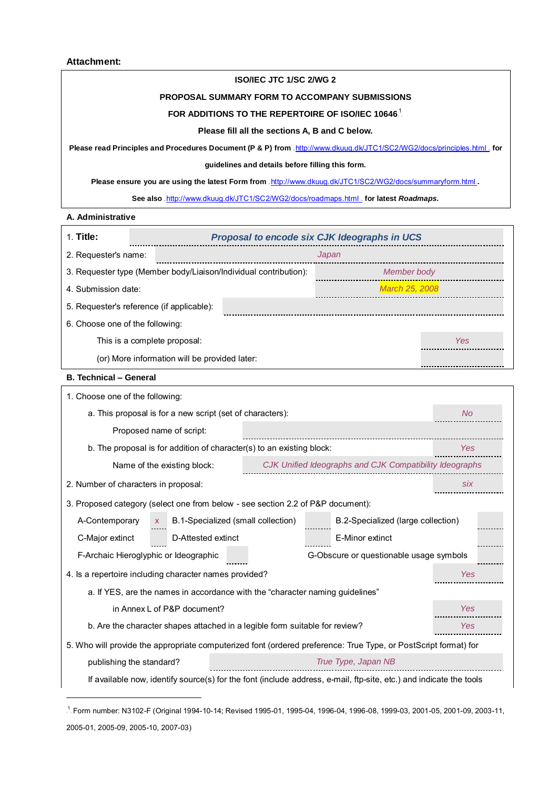#### **ISO/IEC JTC 1/SC 2/WG 2**

#### **PROPOSAL SUMMARY FORM TO ACCOMPANY SUBMISSIONS**

#### FOR ADDITIONS TO THE REPERTOIRE OF ISO/IEC 10646.<sup>1</sup>

#### **Please fill all the sections A, B and C below.**

Please read Principles and Procedures Document (P & P) from .*http://www.dkuug.dk/JTC1/SC2/WG2/docs/principles.html* .for

#### **guidelines and details before filling this form.**

Please ensure you are using the latest Form from .<http://www.dkuug.dk/JTC1/SC2/WG2/docs/summaryform.html>.

See also .<http://www.dkuug.dk/JTC1/SC2/WG2/docs/roadmaps.html>\_ for latest **Roadmaps**.

#### **A. Administrative**

 $\overline{a}$ 

| 1. Title:                                 |                                                                                 |       | Proposal to encode six CJK Ideographs in UCS                                                                       |            |
|-------------------------------------------|---------------------------------------------------------------------------------|-------|--------------------------------------------------------------------------------------------------------------------|------------|
| 2. Requester's name:                      |                                                                                 | Japan |                                                                                                                    |            |
|                                           | 3. Requester type (Member body/Liaison/Individual contribution):                |       | Member body                                                                                                        |            |
| 4. Submission date:                       |                                                                                 |       | March 25, 2008                                                                                                     |            |
| 5. Requester's reference (if applicable): |                                                                                 |       |                                                                                                                    |            |
| 6. Choose one of the following:           |                                                                                 |       |                                                                                                                    |            |
| This is a complete proposal:              |                                                                                 |       |                                                                                                                    | Yes        |
|                                           | (or) More information will be provided later:                                   |       |                                                                                                                    |            |
| <b>B. Technical - General</b>             |                                                                                 |       |                                                                                                                    |            |
| 1. Choose one of the following:           |                                                                                 |       |                                                                                                                    |            |
|                                           | a. This proposal is for a new script (set of characters):                       |       |                                                                                                                    | <b>No</b>  |
|                                           | Proposed name of script:                                                        |       |                                                                                                                    |            |
|                                           | b. The proposal is for addition of character(s) to an existing block:           |       |                                                                                                                    | Yes        |
|                                           | Name of the existing block:                                                     |       | CJK Unified Ideographs and CJK Compatibility Ideographs                                                            |            |
| 2. Number of characters in proposal:      |                                                                                 |       |                                                                                                                    | <b>SİX</b> |
|                                           | 3. Proposed category (select one from below - see section 2.2 of P&P document): |       |                                                                                                                    |            |
| A-Contemporary                            | B.1-Specialized (small collection)<br><b>X</b>                                  |       | B.2-Specialized (large collection)                                                                                 |            |
| C-Major extinct                           | D-Attested extinct                                                              |       | E-Minor extinct                                                                                                    |            |
| F-Archaic Hieroglyphic or Ideographic     |                                                                                 |       | G-Obscure or questionable usage symbols                                                                            |            |
|                                           | 4. Is a repertoire including character names provided?                          |       |                                                                                                                    | Yes        |
|                                           | a. If YES, are the names in accordance with the "character naming guidelines"   |       |                                                                                                                    |            |
|                                           | in Annex L of P&P document?                                                     |       |                                                                                                                    | Yes        |
|                                           | b. Are the character shapes attached in a legible form suitable for review?     |       |                                                                                                                    | Yes        |
|                                           |                                                                                 |       | 5. Who will provide the appropriate computerized font (ordered preference: True Type, or PostScript format) for    |            |
| publishing the standard?                  |                                                                                 |       | True Type, Japan NB                                                                                                |            |
|                                           |                                                                                 |       | If available now, identify source(s) for the font (include address, e-mail, ftp-site, etc.) and indicate the tools |            |

TP 1 PT Form number: N3102-F (Original 1994-10-14; Revised 1995-01, 1995-04, 1996-04, 1996-08, 1999-03, 2001-05, 2001-09, 2003-11, 2005-01, 2005-09, 2005-10, 2007-03)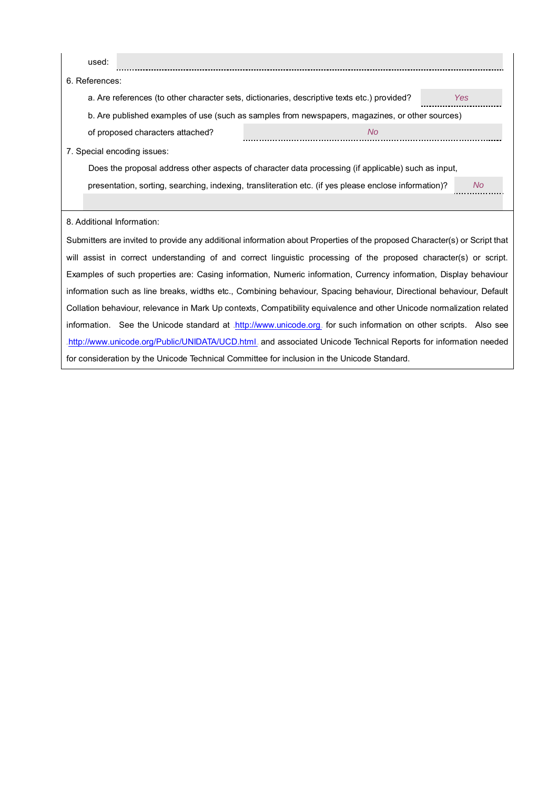| used:                                                                                       |                                                                                                                           |     |
|---------------------------------------------------------------------------------------------|---------------------------------------------------------------------------------------------------------------------------|-----|
| 6. References:                                                                              |                                                                                                                           |     |
| a. Are references (to other character sets, dictionaries, descriptive texts etc.) provided? |                                                                                                                           | Yes |
|                                                                                             | b. Are published examples of use (such as samples from newspapers, magazines, or other sources)                           |     |
| of proposed characters attached?                                                            | <b>No</b>                                                                                                                 |     |
| 7. Special encoding issues:                                                                 |                                                                                                                           |     |
|                                                                                             | Does the proposal address other aspects of character data processing (if applicable) such as input,                       |     |
|                                                                                             | presentation, sorting, searching, indexing, transliteration etc. (if yes please enclose information)?                     | No. |
|                                                                                             |                                                                                                                           |     |
| 8. Additional Information:                                                                  |                                                                                                                           |     |
|                                                                                             | Submitters are invited to provide any additional information about Properties of the proposed Character(s) or Script that |     |
|                                                                                             | will assist in correct understanding of and correct linguistic processing of the proposed character(s) or script.         |     |
|                                                                                             | Examples of such properties are: Casing information, Numeric information, Currency information, Display behaviour         |     |
|                                                                                             | information such as line breaks, widths etc., Combining behaviour, Spacing behaviour, Directional behaviour, Default      |     |
|                                                                                             | Collation behaviour, relevance in Mark Up contexts, Compatibility equivalence and other Unicode normalization related     |     |
|                                                                                             | information. See the Unicode standard at .http://www.unicode.org. for such information on other scripts. Also see         |     |
|                                                                                             | http://www.unicode.org/Public/UNIDATA/UCD.html. and associated Unicode Technical Reports for information needed           |     |
| for consideration by the Unicode Technical Committee for inclusion in the Unicode Standard. |                                                                                                                           |     |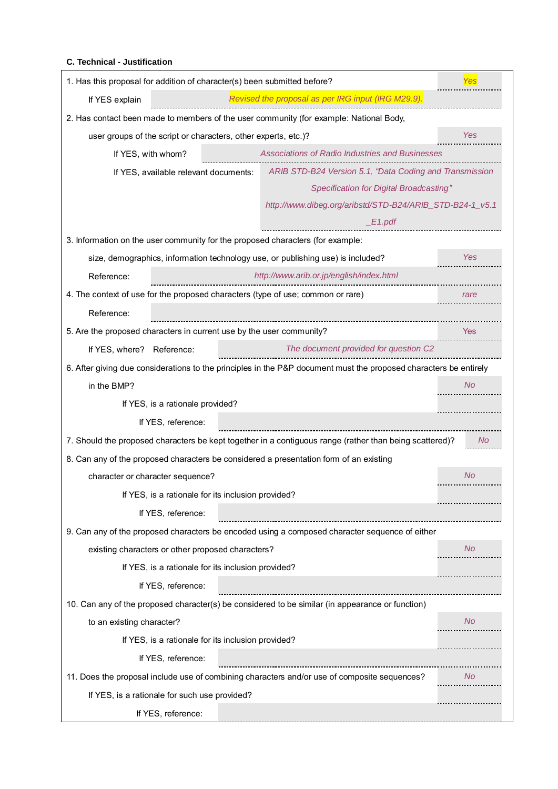#### **C. Technical - Justification**

| 1. Has this proposal for addition of character(s) been submitted before?                         |                                                                                                                   |           |
|--------------------------------------------------------------------------------------------------|-------------------------------------------------------------------------------------------------------------------|-----------|
| If YES explain                                                                                   | Revised the proposal as per IRG input (IRG M29.9).                                                                |           |
| 2. Has contact been made to members of the user community (for example: National Body,           |                                                                                                                   |           |
| user groups of the script or characters, other experts, etc.)?                                   |                                                                                                                   | Yes       |
| If YES, with whom?                                                                               | Associations of Radio Industries and Businesses                                                                   |           |
| If YES, available relevant documents:                                                            | ARIB STD-B24 Version 5.1, "Data Coding and Transmission                                                           |           |
|                                                                                                  | Specification for Digital Broadcasting"                                                                           |           |
|                                                                                                  | http://www.dibeg.org/aribstd/STD-B24/ARIB_STD-B24-1_v5.1                                                          |           |
|                                                                                                  | E1.pdf                                                                                                            |           |
| 3. Information on the user community for the proposed characters (for example:                   |                                                                                                                   |           |
| size, demographics, information technology use, or publishing use) is included?                  |                                                                                                                   | Yes       |
| Reference:                                                                                       | http://www.arib.or.jp/english/index.html                                                                          |           |
| 4. The context of use for the proposed characters (type of use; common or rare)                  |                                                                                                                   | rare      |
| Reference:                                                                                       |                                                                                                                   |           |
| 5. Are the proposed characters in current use by the user community?                             |                                                                                                                   | Yes       |
| If YES, where? Reference:                                                                        | The document provided for question C2                                                                             |           |
|                                                                                                  | 6. After giving due considerations to the principles in the P&P document must the proposed characters be entirely |           |
| in the BMP?                                                                                      |                                                                                                                   | No        |
| If YES, is a rationale provided?                                                                 |                                                                                                                   |           |
| If YES, reference:                                                                               |                                                                                                                   |           |
|                                                                                                  | 7. Should the proposed characters be kept together in a contiguous range (rather than being scattered)?           | No.       |
| 8. Can any of the proposed characters be considered a presentation form of an existing           |                                                                                                                   |           |
| character or character sequence?                                                                 |                                                                                                                   | No        |
| If YES, is a rationale for its inclusion provided?                                               |                                                                                                                   |           |
| If YES, reference:                                                                               |                                                                                                                   |           |
| 9. Can any of the proposed characters be encoded using a composed character sequence of either   |                                                                                                                   |           |
| existing characters or other proposed characters?                                                |                                                                                                                   | No.       |
| If YES, is a rationale for its inclusion provided?                                               |                                                                                                                   |           |
| If YES, reference:                                                                               |                                                                                                                   |           |
| 10. Can any of the proposed character(s) be considered to be similar (in appearance or function) |                                                                                                                   |           |
| to an existing character?                                                                        |                                                                                                                   | <b>No</b> |
| If YES, is a rationale for its inclusion provided?                                               |                                                                                                                   |           |
| If YES, reference:                                                                               |                                                                                                                   |           |
| 11. Does the proposal include use of combining characters and/or use of composite sequences?     |                                                                                                                   | No        |
| If YES, is a rationale for such use provided?                                                    |                                                                                                                   |           |
| If YES, reference:                                                                               |                                                                                                                   |           |